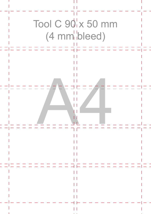